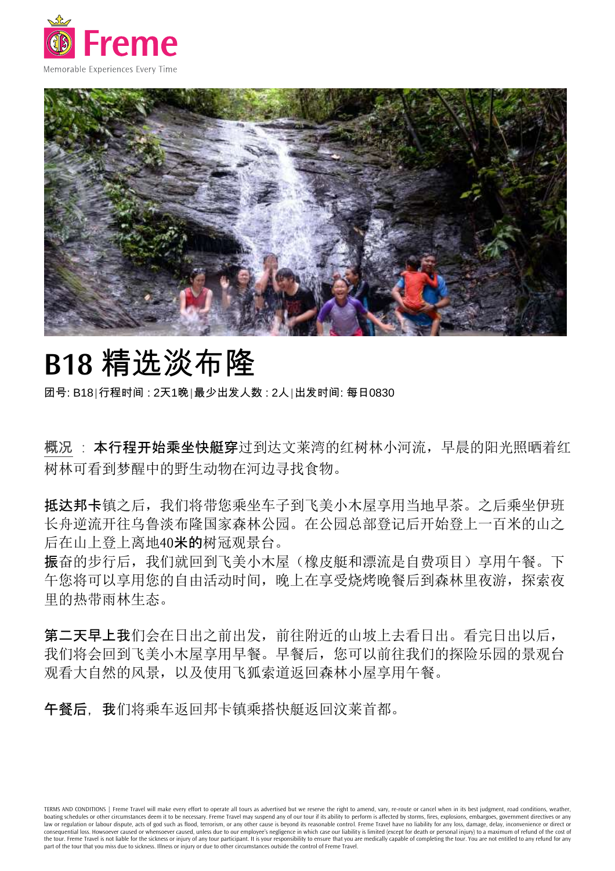



## **B18** 精选淡布隆

团号: B18|行程时间 : 2天1晚|最少出发人数 : 2人|出发时间: 每日0830

概况:本行程开始乘坐快艇穿过到达文莱湾的红树林小河流,早晨的阳光照晒着红 树林可看到梦醒中的野生动物在河边寻找食物。

抵达邦卡镇之后,我们将带您乘坐车子到飞美小木屋享用当地早茶。之后乘坐伊班 长舟逆流开往乌鲁淡布隆国家森林公园。在公园总部登记后开始登上一百米的山之 后在山上登上离地40**米的**树冠观景台。

振奋的步行后,我们就回到飞美小木屋(橡皮艇和漂流是自费项目)享用午餐。下 午您将可以享用您的自由活动时间,晚上在享受烧烤晚餐后到森林里夜游,探索夜 里的热带雨林生态。

第二天早上我们会在日出之前出发,前往附近的山坡上去看日出。看完日出以后, 我们将会回到飞美小木屋享用早餐。早餐后,您可以前往我们的探险乐园的景观台 观看大自然的风景,以及使用飞狐索道返回森林小屋享用午餐。

午餐后,我们将乘车返回邦卡镇乘搭快艇返回汶莱首都。

TERMS AND CONDITIONS | Freme Travel will make every effort to operate all tours as advertised but we reserve the right to amend, vary, re-route or cancel when in its best judgment, road conditions, weather, boating schedules or other circumstances deem it to be necessary. Freme Travel may suspend any of our tour if its ability to perform is affected by storms, fires, explosions, embargoes, government directives or any law or regulation or labour dispute, acts of god such as flood, terrorism, or any other cause is beyond its reasonable control. Freme Travel have no liability for any loss, damage, delay, inconvenience or direct or consequential loss. Howsoever caused or whensoever caused, unless due to our employee's negligence in which case our liability is limited (except for death or personal injury) to a maximum of refund of the cost of the tour. Freme Travel is not liable for the sickness or injury of any tour participant. It is your responsibility to ensure that you are medically capable of completing the tour. You are not entitled to any refund for any part of the tour that you miss due to sickness. Illness or injury or due to other circumstances outside the control of Freme Travel.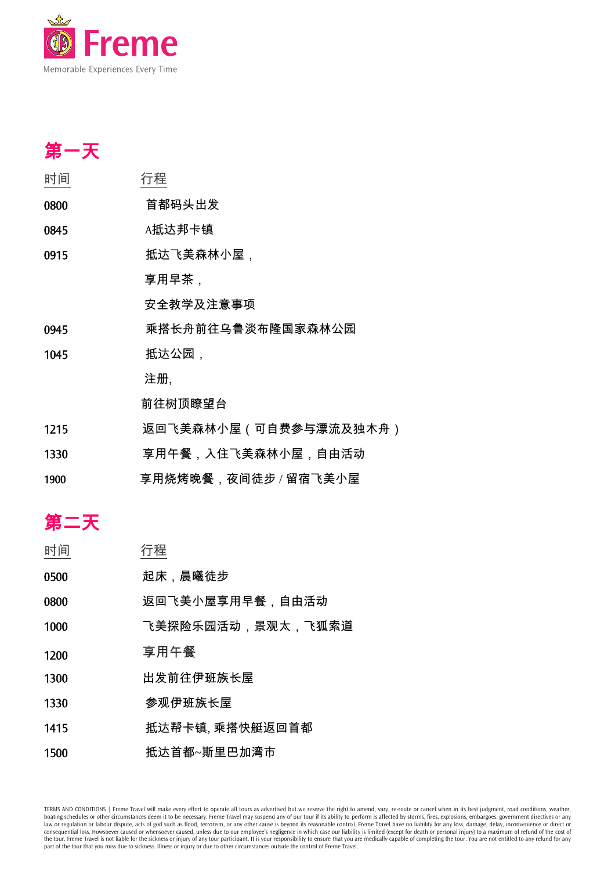

| 第一天  |                       |
|------|-----------------------|
| 时间   | 行程                    |
| 0800 | 首都码头出发                |
| 0845 | A抵达邦卡镇                |
| 0915 | 抵达飞美森林小屋,             |
|      | 享用早茶,                 |
|      | 安全教学及注意事项             |
| 0945 | 乘搭长舟前往乌鲁淡布隆国家森林公园     |
| 1045 | 抵达公园,                 |
|      | 注册,                   |
|      | 前往树顶瞭望台               |
| 1215 | 返回飞美森林小屋(可自费参与漂流及独木舟) |
| 1330 | 享用午餐,入住飞美森林小屋,自由活动    |
| 1900 | 享用烧烤晚餐,夜间徒步 / 留宿飞美小屋  |
|      |                       |
| 第二天  |                       |
| 再十正。 | 仁非                    |

| 时间   | 行程                |
|------|-------------------|
| 0500 | 起床,晨曦徒步           |
| 0800 | 返回飞美小屋享用早餐,自由活动   |
| 1000 | 飞美探险乐园活动,景观太,飞狐索道 |
| 1200 | 享用午餐              |
| 1300 | 出发前往伊班族长屋         |
| 1330 | 参观伊班族长屋           |
| 1415 | 抵达帮卡镇, 乘搭快艇返回首都   |
| 1500 | 抵达首都~斯里巴加湾市       |

TERMS AND CONDITIONS | Freme Travel will make every effort to operate all tours as advertised but we reserve the right to amend, vary, re-route or cancel when in its best judgment, road conditions, weather, boating schedul